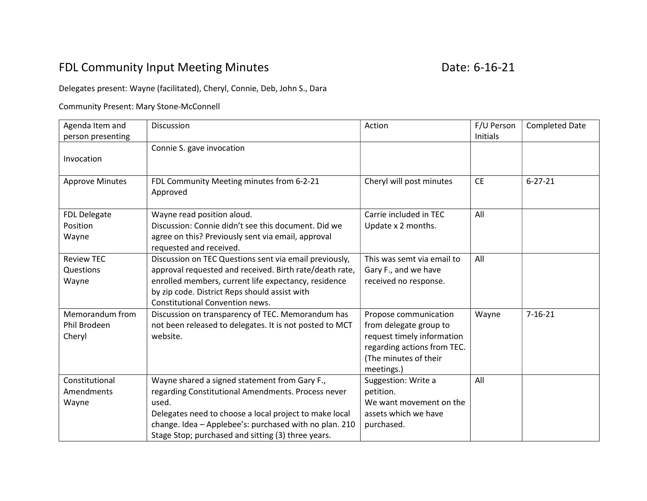## FDL Community Input Meeting Minutes **EXACTE 18 and STACK COMMUNITY** Date: 6-16-21

## Delegates present: Wayne (facilitated), Cheryl, Connie, Deb, John S., Dara

## Community Present: Mary Stone-McConnell

| Agenda Item and<br>person presenting      | Discussion                                                                                                                                                                                                                                                                             | Action                                                                                                                                              | F/U Person<br>Initials | <b>Completed Date</b> |
|-------------------------------------------|----------------------------------------------------------------------------------------------------------------------------------------------------------------------------------------------------------------------------------------------------------------------------------------|-----------------------------------------------------------------------------------------------------------------------------------------------------|------------------------|-----------------------|
| Invocation                                | Connie S. gave invocation                                                                                                                                                                                                                                                              |                                                                                                                                                     |                        |                       |
| <b>Approve Minutes</b>                    | FDL Community Meeting minutes from 6-2-21<br>Approved                                                                                                                                                                                                                                  | Cheryl will post minutes                                                                                                                            | <b>CE</b>              | $6 - 27 - 21$         |
| FDL Delegate<br>Position<br>Wayne         | Wayne read position aloud.<br>Discussion: Connie didn't see this document. Did we<br>agree on this? Previously sent via email, approval<br>requested and received.                                                                                                                     | Carrie included in TEC<br>Update x 2 months.                                                                                                        | All                    |                       |
| <b>Review TEC</b><br>Questions<br>Wayne   | Discussion on TEC Questions sent via email previously,<br>approval requested and received. Birth rate/death rate,<br>enrolled members, current life expectancy, residence<br>by zip code. District Reps should assist with<br><b>Constitutional Convention news.</b>                   | This was semt via email to<br>Gary F., and we have<br>received no response.                                                                         | All                    |                       |
| Memorandum from<br>Phil Brodeen<br>Cheryl | Discussion on transparency of TEC. Memorandum has<br>not been released to delegates. It is not posted to MCT<br>website.                                                                                                                                                               | Propose communication<br>from delegate group to<br>request timely information<br>regarding actions from TEC.<br>(The minutes of their<br>meetings.) | Wayne                  | $7 - 16 - 21$         |
| Constitutional<br>Amendments<br>Wayne     | Wayne shared a signed statement from Gary F.,<br>regarding Constitutional Amendments. Process never<br>used.<br>Delegates need to choose a local project to make local<br>change. Idea - Applebee's: purchased with no plan. 210<br>Stage Stop; purchased and sitting (3) three years. | Suggestion: Write a<br>petition.<br>We want movement on the<br>assets which we have<br>purchased.                                                   | All                    |                       |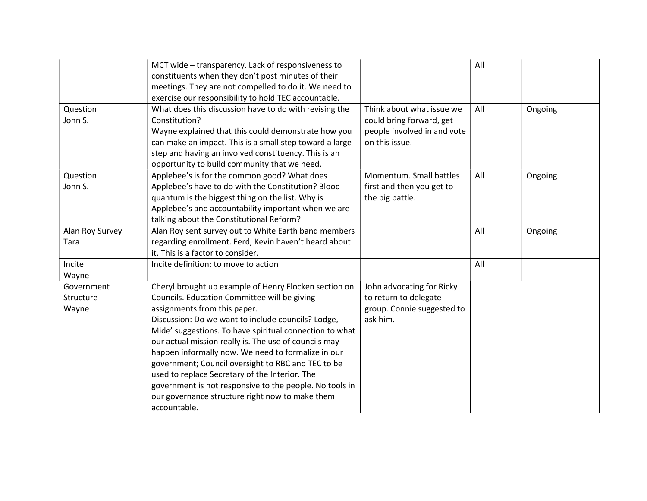|                 | MCT wide - transparency. Lack of responsiveness to      |                             | All |         |
|-----------------|---------------------------------------------------------|-----------------------------|-----|---------|
|                 | constituents when they don't post minutes of their      |                             |     |         |
|                 | meetings. They are not compelled to do it. We need to   |                             |     |         |
|                 | exercise our responsibility to hold TEC accountable.    |                             |     |         |
| Question        | What does this discussion have to do with revising the  | Think about what issue we   | All | Ongoing |
| John S.         | Constitution?                                           | could bring forward, get    |     |         |
|                 | Wayne explained that this could demonstrate how you     | people involved in and vote |     |         |
|                 | can make an impact. This is a small step toward a large | on this issue.              |     |         |
|                 | step and having an involved constituency. This is an    |                             |     |         |
|                 | opportunity to build community that we need.            |                             |     |         |
| Question        | Applebee's is for the common good? What does            | Momentum. Small battles     | All | Ongoing |
| John S.         | Applebee's have to do with the Constitution? Blood      | first and then you get to   |     |         |
|                 | quantum is the biggest thing on the list. Why is        | the big battle.             |     |         |
|                 | Applebee's and accountability important when we are     |                             |     |         |
|                 | talking about the Constitutional Reform?                |                             |     |         |
| Alan Roy Survey | Alan Roy sent survey out to White Earth band members    |                             | All | Ongoing |
| Tara            | regarding enrollment. Ferd, Kevin haven't heard about   |                             |     |         |
|                 | it. This is a factor to consider.                       |                             |     |         |
| Incite          | Incite definition: to move to action                    |                             | All |         |
| Wayne           |                                                         |                             |     |         |
| Government      | Cheryl brought up example of Henry Flocken section on   | John advocating for Ricky   |     |         |
| Structure       | Councils. Education Committee will be giving            | to return to delegate       |     |         |
| Wayne           | assignments from this paper.                            | group. Connie suggested to  |     |         |
|                 | Discussion: Do we want to include councils? Lodge,      | ask him.                    |     |         |
|                 | Mide' suggestions. To have spiritual connection to what |                             |     |         |
|                 | our actual mission really is. The use of councils may   |                             |     |         |
|                 | happen informally now. We need to formalize in our      |                             |     |         |
|                 | government; Council oversight to RBC and TEC to be      |                             |     |         |
|                 | used to replace Secretary of the Interior. The          |                             |     |         |
|                 | government is not responsive to the people. No tools in |                             |     |         |
|                 | our governance structure right now to make them         |                             |     |         |
|                 | accountable.                                            |                             |     |         |